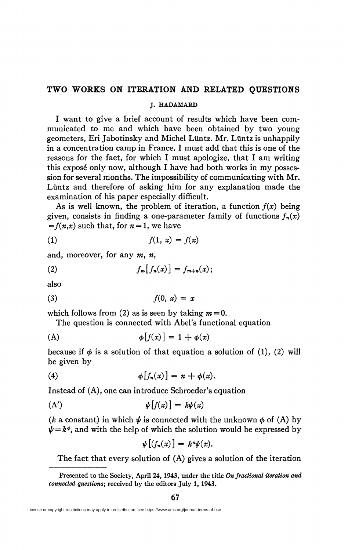## **TWO WORKS ON ITERATION AND RELATED QUESTIONS**

## **J. HADAMARD**

I want to give a brief account of results which have been communicated to me and which have been obtained by two young geometers, Eri Jabotinsky and Michel Liintz. Mr. Liintz is unhappily in a concentration camp in France. I must add that this is one of the reasons for the fact, for which I must apologize, that I am writing this exposé only now, although I have had both works in my possession for several months. The impossibility of communicating with Mr. Liintz and therefore of asking him for any explanation made the examination of his paper especially difficult.

As is well known, the problem of iteration, a function  $f(x)$  being given, consists in finding a one-parameter family of functions  $f_n(x)$  $=f(n,x)$  such that, for  $n=1$ , we have

$$
(1) \t\t f(1, x) = f(x)
$$

and, moreover, for any  $m$ ,  $n$ ,

$$
(2) \t f_m[f_n(x)] = f_{m+n}(x);
$$

also

$$
(3) \t\t f(0, x) = x
$$

which follows from (2) as is seen by taking  $m = 0$ .

The question is connected with Abel's functional equation

$$
\phi[f(x)] = 1 + \phi(x)
$$

because if  $\phi$  is a solution of that equation a solution of (1), (2) will be given by

(4) 
$$
\phi[f_n(x)] = n + \phi(x).
$$

Instead of (A), one can introduce Schroeder's equation

$$
(\mathbf{A}') \qquad \qquad \psi[f(x)] = k\psi(x)
$$

(k a constant) in which  $\psi$  is connected with the unknown  $\phi$  of (A) by  $\psi = k^{\phi}$ , and with the help of which the solution would be expressed by

$$
\psi\big[\big(f_n(x)\big]=k^n\psi(x).
$$

The fact that every solution of (A) gives a solution of the iteration

**Presented to the Society, April 24, 1943, under the title** *On fractional iteration and connected questions;* **received by the editors July 1, 1943.** 

License or copyright restrictions may apply to redistribution; see https://www.ams.org/journal-terms-of-use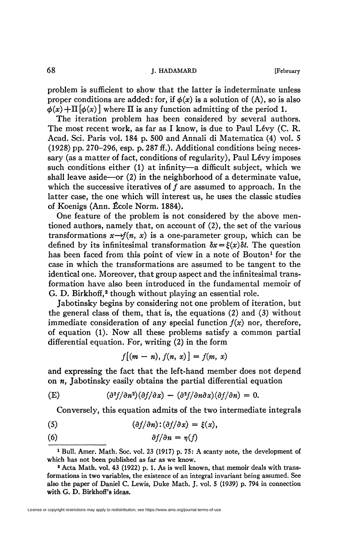68 **J. HADAMARD [February** 

problem is sufficient to show that the latter is indeterminate unless proper conditions are added: for, if  $\phi(x)$  is a solution of (A), so is also  $\phi(x) + \Pi[\phi(x)]$  where  $\Pi$  is any function admitting of the period 1.

The iteration problem has been considered by several authors. The most recent work, as far as I know, is due to Paul Lévy (C. R. Acad. Sci. Paris vol. 184 p. 500 and Annali di Matematica (4) vol. 5 (1928) pp. 270-296, esp. p. 287 ff.). Additional conditions being necessary (as a matter of fact, conditions of regularity), Paul Lévy imposes such conditions either (1) at infinity—a difficult subject, which we shall leave aside—or (2) in the neighborhood of a determinate value, which the successive iteratives of  $f$  are assumed to approach. In the latter case, the one which will interest us, he uses the classic studies of Koenigs (Ann. École Norm. 1884).

One feature of the problem is not considered by the above mentioned authors, namely that, on account of (2), the set of the various transformations  $x \rightarrow f(n, x)$  is a one-parameter group, which can be defined by its infinitesimal transformation  $\delta x = \xi(x)\delta t$ . The question has been faced from this point of view in a note of Bouton<sup>1</sup> for the case in which the transformations are assumed to be tangent to the identical one. Moreover, that group aspect and the infinitesimal transformation have also been introduced in the fundamental memoir of G. D. Birkhoff,<sup>2</sup> though without playing an essential role.

Jabotinsky begins by considering not one problem of iteration, but the general class of them, that is, the equations (2) and (3) without immediate consideration of any special function *f(x)* nor, therefore, of equation (1). Now all these problems satisfy a common partial differential equation. For, writing (2) in the form

$$
f[(m-n), f(n, x)] = f(m, x)
$$

and expressing the fact that the left-hand member does not depend on *n,* Jabotinsky easily obtains the partial differential equation

(E) 
$$
(\partial^2 f/\partial n^2)(\partial f/\partial x) - (\partial^2 f/\partial n \partial x)(\partial f/\partial n) = 0.
$$

Conversely, this equation admits of the two intermediate integrals

- (5)  $(\partial f/\partial n):(\partial f/\partial x) = \xi(x),$
- (6)  $\partial f/\partial n = \eta(f)$

<sup>&</sup>lt;sup>1</sup> Bull. Amer. Math. Soc. vol. 23 (1917) p. 75: A scanty note, the development of **which has not been published as far as we know.** 

**<sup>2</sup> Acta Math. vol. 43 (1922) p. 1. As is well known, that memoir deals with transformations in two variables, the existence of an integral invariant being assumed. See also the paper of Daniel C. Lewis, Duke Math. J. vol. 5 (1939) p. 794 in connection**  with G. D. Birkhoff's ideas.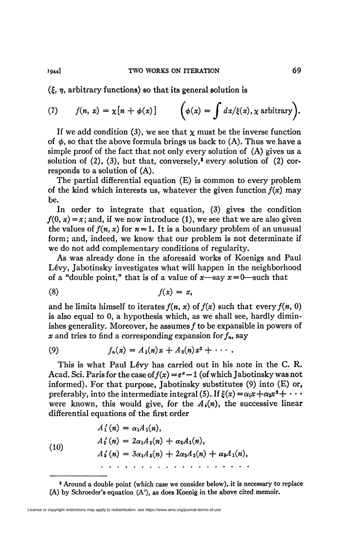(£, *rj,* arbitrary functions) so that its general solution is

(7) 
$$
f(n, x) = \chi[n + \phi(x)] \qquad \left(\phi(x) = \int dx/\xi(x), \chi \text{ arbitrary}\right).
$$

If we add condition (3), we see that  $\chi$  must be the inverse function of  $\phi$ , so that the above formula brings us back to  $(A)$ . Thus we have a simple proof of the fact that not only every solution of (A) gives us a solution of  $(2)$ ,  $(3)$ , but that, conversely,<sup>8</sup> every solution of  $(2)$  corresponds to a solution of (A).

The partial differential equation (E) is common to every problem of the kind which interests us, whatever the given function  $f(x)$  may be.

In order to integrate that equation, (3) gives the condition  $f(0, x) = x$ ; and, if we now introduce (1), we see that we are also given the values of  $f(n, x)$  for  $n = 1$ . It is a boundary problem of an unusual form; and, indeed, we know that our problem is not determinate if we do not add complementary conditions of regularity.

As was already done in the aforesaid works of Koenigs and Paul Lévy, Jabotinsky investigates what will happen in the neighborhood of a "double point," that is of a value of  $x$ —say  $x=0$ —such that

$$
(8) \hspace{3.1em} f(x) = x,
$$

and he limits himself to iterates  $f(n, x)$  of  $f(x)$  such that every  $f(n, 0)$ is also equal to 0, a hypothesis which, as we shall see, hardly diminishes generality. Moreover, he assumes  $f$  to be expansible in powers of x and tries to find a corresponding expansion for  $f_n$ , say

(9) 
$$
f_n(x) = A_1(n)x + A_2(n)x^2 + \cdots
$$

This is what Paul Lévy has carried out in his note in the C. R. Acad. Sci. Paris for the case of  $f(x) = e^x - 1$  (of which Jabotinsky was not informed). For that purpose, Jabotinsky substitutes (9) into (E) or, preferably, into the intermediate integral (5). If  $\xi(x) = \alpha_1 x + \alpha_2 x^2 + \cdots$ were known, this would give, for the  $A_i(n)$ , the successive linear differential equations of the first order

(10)  
\n
$$
A'_1(n) = \alpha_1 A_1(n),
$$
\n
$$
A'_2(n) = 2\alpha_1 A_2(n) + \alpha_2 A_1(n),
$$
\n
$$
A'_3(n) = 3\alpha_1 A_3(n) + 2\alpha_2 A_2(n) + \alpha_3 A_1(n),
$$
\n
$$
\vdots
$$

**<sup>8</sup> Around a double point (which case we consider below), it is necessary to replace (A) by Schroeder's equation (A'), as does Koenig in the above cited memoir.**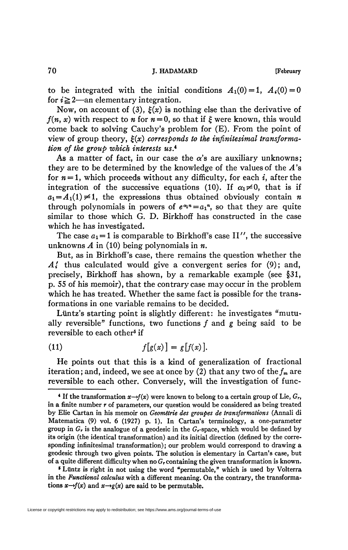**70** J. HADAMARD [February

to be integrated with the initial conditions  $A_1(0) = 1$ ,  $A_2(0) = 0$ for  $i \geq 2$ —an elementary integration.

Now, on account of (3),  $\xi(x)$  is nothing else than the derivative of  $f(n, x)$  with respect to *n* for  $n = 0$ , so that if  $\xi$  were known, this would come back to solving Cauchy's problem for (E). From the point of view of group theory,  $\xi(x)$  corresponds to the *infinitesimal transformation of the group which interests us. 4* 

As a matter of fact, in our case the  $\alpha$ 's are auxiliary unknowns; they are to be determined by the knowledge of the values of the *A*'s for  $n=1$ , which proceeds without any difficulty, for each *i*, after the integration of the successive equations (10). If  $\alpha_1 \neq 0$ , that is if  $a_1 = A_1(1) \neq 1$ , the expressions thus obtained obviously contain *n* through polynomials in powers of  $e^{\alpha_1 n} = a_1$ <sup>n</sup>, so that they are quite similar to those which G. D. Birkhoff has constructed in the case which he has investigated.

The case  $a_1 = 1$  is comparable to Birkhoff's case II'', the successive unknowns *A* in (10) being polynomials in *n.* 

But, as in Birkhoff's case, there remains the question whether the *AI* thus calculated would give a convergent series for (9); and, precisely, Birkhoff has shown, by a remarkable example (see §31, p. 55 of his memoir), that the contrary case may occur in the problem which he has treated. Whether the same fact is possible for the transformations in one variable remains to be decided.

Lüntz's starting point is slightly different: he investigates "mutually reversible" functions, two functions  $f$  and  $g$  being said to be reversible to each other<sup>5</sup> if

$$
(11) \t\t f[g(x)] = g[f(x)].
$$

He points out that this is a kind of generalization of fractional iteration; and, indeed, we see at once by (2) that any two of the  $f_m$  are reversible to each other. Conversely, will the investigation of func-

*\** Lüntz is right in not using the word "permutable, *"* which is used by Volterra in the *Functional calculus* with a different meaning. On the contrary, the transformations  $x \rightarrow f(x)$  and  $x \rightarrow g(x)$  are said to be permutable.

 $\bullet$  If the transformation  $x \rightarrow f(x)$  were known to belong to a certain group of Lie,  $G_r$ , in a finite number *r* of parameters, our question would be considered as being treated by Elie Cartan in his memoir on *Géométrie des groupes de transformations* (Annali di Matematica (9) vol. 6 (1927) p. 1). In Cartan's terminology, a one-parameter group in  $G_r$  is the analogue of a geodesic in the  $G_r$ -space, which would be defined by its origin (the identical transformation) and its initial direction (defined by the corresponding infinitesimal transformation); our problem would correspond to drawing a geodesic through two given points. The solution is elementary in Cartan's case, but of a quite different difficulty when no *G<sup>r</sup>* containing the given transformation is known.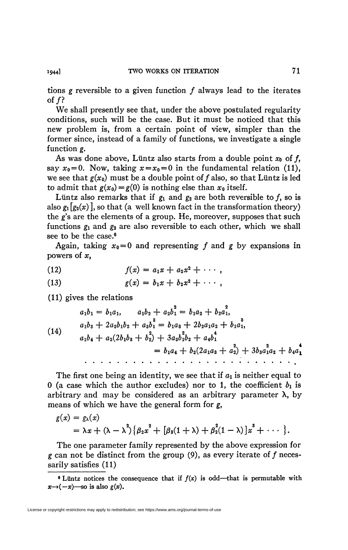tions *g* reversible to a given function ƒ always lead to the iterates of  $f$ ?

We shall presently see that, under the above postulated regularity conditions, such will be the case. But it must be noticed that this new problem is, from a certain point of view, simpler than the former since, instead of a family of functions, we investigate a single function *g.* 

As was done above, Lüntz also starts from a double point  $x_0$  of  $f$ , say  $x_0 = 0$ . Now, taking  $x = x_0 = 0$  in the fundamental relation (11), we see that  $g(x_0)$  must be a double point of f also, so that Lüntz is led to admit that  $g(x_0) = g(0)$  is nothing else than  $x_0$  itself.

Lüntz also remarks that if  $g_1$  and  $g_2$  are both reversible to f, so is also  $g_1[g_2(x)]$ , so that (a well known fact in the transformation theory) the g's are the elements of a group. He, moreover, supposes that such functions  $g_1$  and  $g_2$  are also reversible to each other, which we shall see to be the case.<sup>6</sup>

Again, taking  $x_0 = 0$  and representing f and g by expansions in powers of *x<sup>t</sup>*

(12) 
$$
f(x) = a_1 x + a_2 x^2 + \cdots,
$$

(13) 
$$
g(x) = b_1 x + b_2 x^2 + \cdots,
$$

(11) gives the relations

(14)  
\n
$$
a_1b_1 = b_1a_1, \qquad a_1b_2 + a_2b_1^2 = b_1a_2 + b_2a_1^2,
$$
\n
$$
a_1b_3 + 2a_2b_1b_2 + a_3b_1^3 = b_1a_3 + 2b_2a_1a_2 + b_1a_1^3,
$$
\n
$$
a_1b_4 + a_2(2b_1b_3 + b_2^2) + 3a_3b_1^2b_2 + a_4b_1^4
$$
\n
$$
= b_1a_4 + b_2(2a_1a_3 + a_2^2) + 3b_3a_1^2a_2 + b_4a_1^4
$$

The first one being an identity, we see that if  $a_1$  is neither equal to 0 (a case which the author excludes) nor to 1, the coefficient  $b_1$  is arbitrary and may be considered as an arbitrary parameter  $\lambda$ , by means of which we have the general form for g,

$$
g(x) = g_{\lambda}(x)
$$
  
=  $\lambda x + (\lambda - \lambda^2) \{ \beta_2 x^2 + [\beta_3(1 + \lambda) + \beta_2^2(1 - \lambda)]x^3 + \cdots \}.$ 

The one parameter family represented by the above expression for  $g$  can not be distinct from the group (9), as every iterate of  $f$  necessarily satisfies (11)

<sup>&</sup>lt;sup>6</sup> Lüntz notices the consequence that if  $f(x)$  is odd—that is permutable with  $x \rightarrow (-x)$ —so is also  $g(x)$ .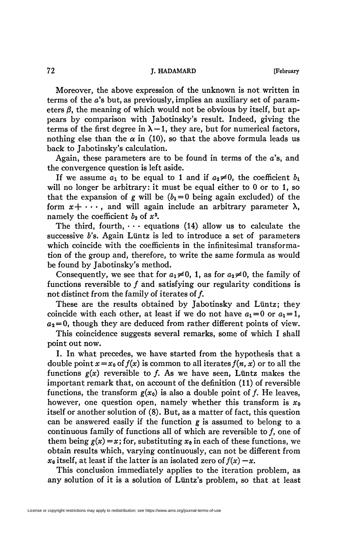Moreover, the above expression of the unknown is not written in terms of the *a's* but, as previously, implies an auxiliary set of parameters  $\beta$ , the meaning of which would not be obvious by itself, but appears by comparison with Jabotinsky's result. Indeed, giving the terms of the first degree in  $\lambda - 1$ , they are, but for numerical factors, nothing else than the  $\alpha$  in (10), so that the above formula leads us back to Jabotinsky's calculation.

Again, these parameters are to be found in terms of the  $a$ 's, and the convergence question is left aside.

If we assume  $a_1$  to be equal to 1 and if  $a_2 \neq 0$ , the coefficient  $b_1$ will no longer be arbitrary: it must be equal either to 0 or to 1, so that the expansion of *g* will be  $(b_1 = 0)$  being again excluded) of the form  $x + \cdots$ , and will again include an arbitrary parameter  $\lambda$ , namely the coefficient  $b_2$  of  $\overline{x^2}$ .

The third, fourth,  $\cdots$  equations (14) allow us to calculate the successive *b's.* Again Lüntz is led to introduce a set of parameters which coincide with the coefficients in the infinitesimal transformation of the group and, therefore, to write the same formula as would be found by Jabotinsky's method.

Consequently, we see that for  $a_1 \neq 0$ , 1, as for  $a_2 \neq 0$ , the family of functions reversible to  $f$  and satisfying our regularity conditions is not distinct from the family of iterates of  $f$ .

These are the results obtained by Jabotinsky and Lüntz; they coincide with each other, at least if we do not have  $a_1 = 0$  or  $a_1 = 1$ ,  $a_2 = 0$ , though they are deduced from rather different points of view.

This coincidence suggests several remarks, some of which I shall point out now.

I. In what precedes, we have started from the hypothesis that a double point  $x=x_0$  of  $f(x)$  is common to all iterates  $f(n, x)$  or to all the functions  $g(x)$  reversible to f. As we have seen, Lüntz makes the important remark that, on account of the definition (11) of reversible functions, the transform  $g(x_0)$  is also a double point of f. He leaves, however, one question open, namely whether this transform is *Xo*  itself or another solution of (8). But, as a matter of fact, this question can be answered easily if the function *g* is assumed to belong to a continuous family of functions all of which are reversible to  $f$ , one of them being  $g(x) = x$ ; for, substituting  $x_0$  in each of these functions, we obtain results which, varying continuously, can not be different from  $x_0$  itself, at least if the latter is an isolated zero of  $f(x) - x$ .

This conclusion immediately applies to the iteration problem, as any solution of it is a solution of Lüntz's problem, so that at least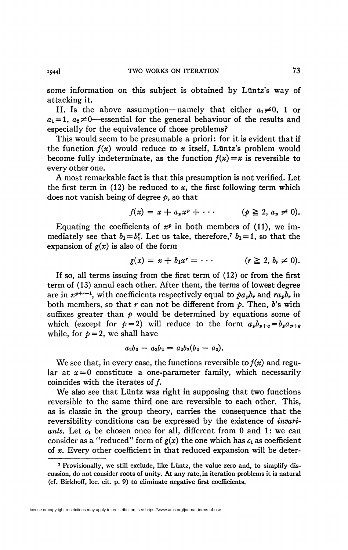some information on this subject is obtained by Lüntz's way of attacking it.

II. Is the above assumption—namely that either  $a_1 \neq 0$ , 1 or  $a_1 = 1$ ,  $a_2 \neq 0$ —essential for the general behaviour of the results and especially for the equivalence of those problems?

This would seem to be presumable a priori: for it is evident that if the function  $f(x)$  would reduce to x itself, Lüntz's problem would become fully indeterminate, as the function  $f(x) = x$  is reversible to every other one.

A most remarkable fact is that this presumption is not verified. Let the first term in  $(12)$  be reduced to x, the first following term which does not vanish being of degree *p,* so that

$$
f(x) = x + a_p x^p + \cdots \qquad (p \geq 2, a_p \neq 0).
$$

Equating the coefficients of  $x^p$  in both members of (11), we immediately see that  $b_1 = b_1^p$ . Let us take, therefore,<sup>7</sup>  $b_1 = 1$ , so that the expansion of *g(x)* is also of the form

$$
g(x) = x + b_1 x^r = \cdots \qquad (r \geq 2, b_r \neq 0).
$$

If so, all terms issuing from the first term of (12) or from the first term of (13) annul each other. After them, the terms of lowest degree are in  $x^{p+r-1}$ , with coefficients respectively equal to  $pa_{p}b_{r}$  and  $ra_{p}b_{r}$  in both members, so that  $r$  can not be different from  $p$ . Then,  $b$ 's with suffixes greater than  $p$  would be determined by equations some of which (except for  $p=2$ ) will reduce to the form  $a_p b_{p+q} = b_p a_{p+q}$ while, for  $p = 2$ , we shall have

$$
a_2b_3-a_3b_2=a_2b_2(b_2-a_2).
$$

We see that, in every case, the functions reversible to  $f(x)$  and regular at  $x = 0$  constitute a one-parameter family, which necessarily coincides with the iterates of  $f$ .

We also see that Liintz was right in supposing that two functions reversible to the same third one are reversible to each other. This, as is classic in the group theory, carries the consequence that the reversibility conditions can be expressed by the existence of *invariants.* Let *c\* be chosen once for all, different from 0 and 1: we can consider as a "reduced" form of  $g(x)$  the one which has  $c_1$  as coefficient of *x.* Every other coefficient in that reduced expansion will be deter-

**<sup>7</sup> Provisionally, we still exclude, like Liintz, the value zero and, to simplify discussion, do not consider roots of unity. At any rate, in iteration problems it is natural (cf. Birkhoff, loc. cit. p. 9) to eliminate negative first coefficients.**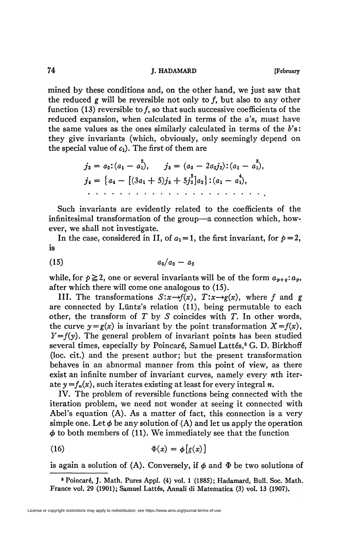## **74 J. HADAMARD [February**

mined by these conditions and, on the other hand, we just saw that the reduced *g* will be reversible not only to ƒ, but also to any other function (13) reversible to  $f$ , so that such successive coefficients of the reduced expansion, when calculated in terms of the *a's,* must have the same values as the ones similarly calculated in terms of the *b's:*  they give invariants (which, obviously, only seemingly depend on the special value of  $c_1$ ). The first of them are

$$
j_2 = a_2: (a_1 - a_1^2), \qquad j_3 = (a_3 - 2a_2j_2): (a_1 - a_1^3),
$$
  
\n
$$
j_4 = \{a_4 - [(3a_1 + 5)j_3 + 5j_2^2]a_2\}: (a_1 - a_1^4),
$$
  
\n... ... ... ...

Such invariants are evidently related to the coefficients of the infinitesimal transformation of the group—a connection which, however, we shall not investigate.

In the case, considered in II, of  $a_1 = 1$ , the first invariant, for  $p = 2$ , is

$$
(15) \qquad \qquad a_3/a_2-a_2
$$

while, for  $p \ge 2$ , one or several invariants will be of the form  $a_{p+q}$ ;  $a_p$ , after which there will come one analogous to (15).

III. The transformations  $S: x \rightarrow f(x)$ ,  $T: x \rightarrow g(x)$ , where f and g are connected by Lüntz's relation (11), being permutable to each other, the transform of T by 5 coincides with *T.* In other words, the curve  $y = g(x)$  is invariant by the point transformation  $X = f(x)$ ,  $Y=f(y)$ . The general problem of invariant points has been studied several times, especially by Poincaré, Samuel Lattés,<sup>8</sup> G. D. Birkhoff (loc. cit.) and the present author; but the present transformation behaves in an abnormal manner from this point of view, as there exist an infinite number of invariant curves, namely every  *iter*ate  $y = f_n(x)$ , such iterates existing at least for every integral *n*.

IV. The problem of reversible functions being connected with the iteration problem, we need not wonder at seeing it connected with Abel's equation (A). As a matter of fact, this connection is a very simple one. Let  $\phi$  be any solution of (A) and let us apply the operation  $\phi$  to both members of (11). We immediately see that the function

(16) 
$$
\Phi(x) = \phi[g(x)]
$$

is again a solution of  $(A)$ . Conversely, if  $\phi$  and  $\Phi$  be two solutions of

**<sup>8</sup> Poincaré, J. Math. Pures Appl. (4) vol. 1 (1885); Hadamard, Bull. Soc. Math.**  France vol. 29 (1901); Samuel Lattés, Annali di Matematica (3) vol. 13 (1907).